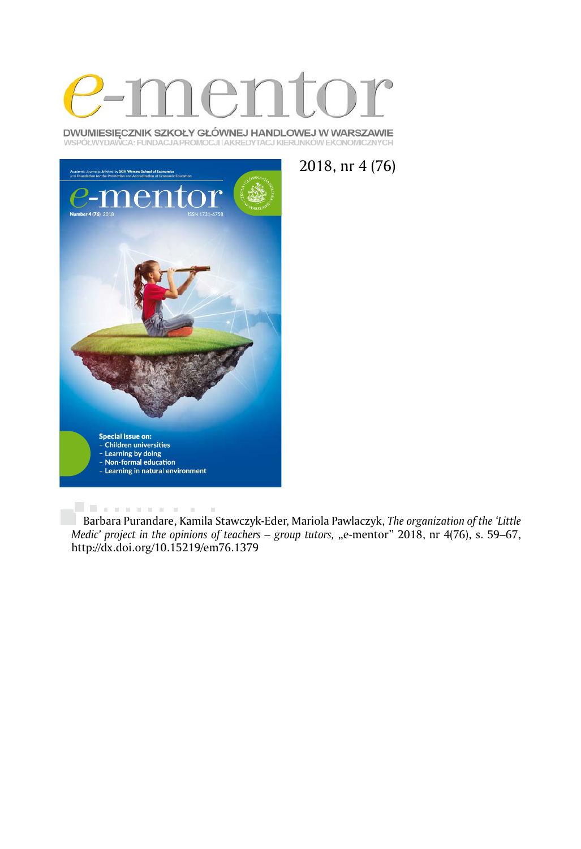

DWUMIESIĘCZNIK SZKOŁY GŁÓWNEJ HANDLOWEJ W WARSZAWIE WSPÓŁWYDAWCA: FUNDACJA PROMOCJI I AKREDYTACJ KIERUNKÓW EKONOMICZNYCH





. . . . . . . . . . . . Barbara Purandare, Kamila Stawczyk-Eder, Mariola Pawlaczyk, *The organization of the 'Little Medic' project in the opinions of teachers – group tutors, "e-mentor" 2018, nr 4(76), s. 59–67,* http://dx.doi.org/10.15219/em76.1379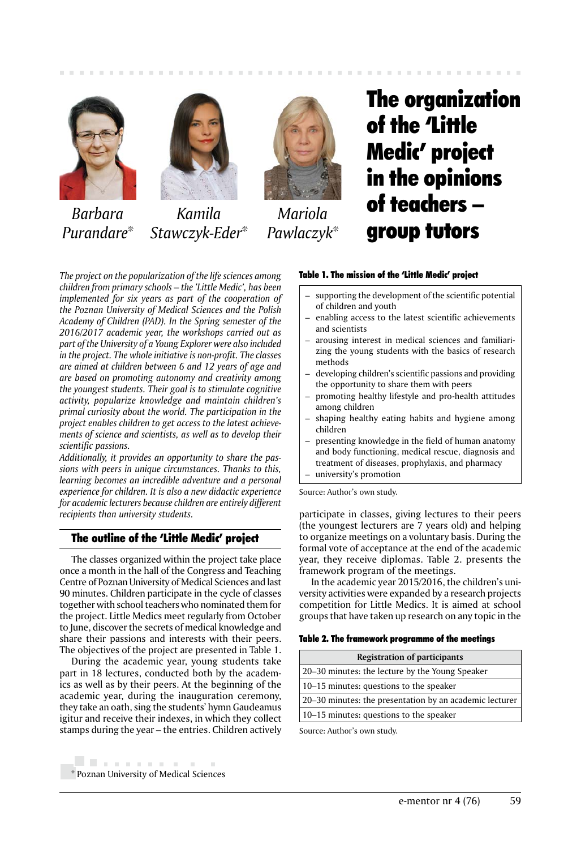





*Kamila Stawczyk-Eder*\*



*Mariola Pawlaczyk*\*

# The organization of the 'Little Medic' project in the opinions of teachers – group tutors

*The project on the popularization of the life sciences among children from primary schools – the 'Little Medic', has been implemented for six years as part of the cooperation of the Poznan University of Medical Sciences and the Polish Academy of Children (PAD). In the Spring semester of the 2016/2017 academic year, the workshops carried out as part of the University of a Young Explorer were also included in the project. The whole initiative is non-profit. The classes are aimed at children between 6 and 12 years of age and are based on promoting autonomy and creativity among the youngest students. Their goal is to stimulate cognitive activity, popularize knowledge and maintain children's primal curiosity about the world. The participation in the project enables children to get access to the latest achievements of science and scientists, as well as to develop their scientific passions.*

*Additionally, it provides an opportunity to share the passions with peers in unique circumstances. Thanks to this, learning becomes an incredible adventure and a personal experience for children. It is also a new didactic experience for academic lecturers because children are entirely different recipients than university students.*

# The outline of the 'Little Medic' project

The classes organized within the project take place once a month in the hall of the Congress and Teaching Centre of Poznan University of Medical Sciences and last 90 minutes. Children participate in the cycle of classes together with school teachers who nominated them for the project. Little Medics meet regularly from October to June, discover the secrets of medical knowledge and share their passions and interests with their peers. The objectives of the project are presented in Table 1.

During the academic year, young students take part in 18 lectures, conducted both by the academics as well as by their peers. At the beginning of the academic year, during the inauguration ceremony, they take an oath, sing the students' hymn Gaudeamus igitur and receive their indexes, in which they collect stamps during the year – the entries. Children actively

# Table 1. The mission of the 'Little Medic' project

- supporting the development of the scientific potential of children and youth
- enabling access to the latest scientific achievements and scientists
- arousing interest in medical sciences and familiarizing the young students with the basics of research methods
- developing children's scientific passions and providing the opportunity to share them with peers
- promoting healthy lifestyle and pro-health attitudes among children
- shaping healthy eating habits and hygiene among children
- presenting knowledge in the field of human anatomy and body functioning, medical rescue, diagnosis and treatment of diseases, prophylaxis, and pharmacy
- university's promotion

Source: Author's own study.

participate in classes, giving lectures to their peers (the youngest lecturers are 7 years old) and helping to organize meetings on a voluntary basis. During the formal vote of acceptance at the end of the academic year, they receive diplomas. Table 2. presents the framework program of the meetings.

In the academic year 2015/2016, the children's university activities were expanded by a research projects competition for Little Medics. It is aimed at school groups that have taken up research on any topic in the

Table 2. The framework programme of the meetings

| <b>Registration of participants</b>                     |  |  |  |
|---------------------------------------------------------|--|--|--|
| 20–30 minutes: the lecture by the Young Speaker         |  |  |  |
| 10–15 minutes: questions to the speaker                 |  |  |  |
| 20–30 minutes: the presentation by an academic lecturer |  |  |  |
| 10–15 minutes: questions to the speaker                 |  |  |  |
|                                                         |  |  |  |

Source: Author's own study.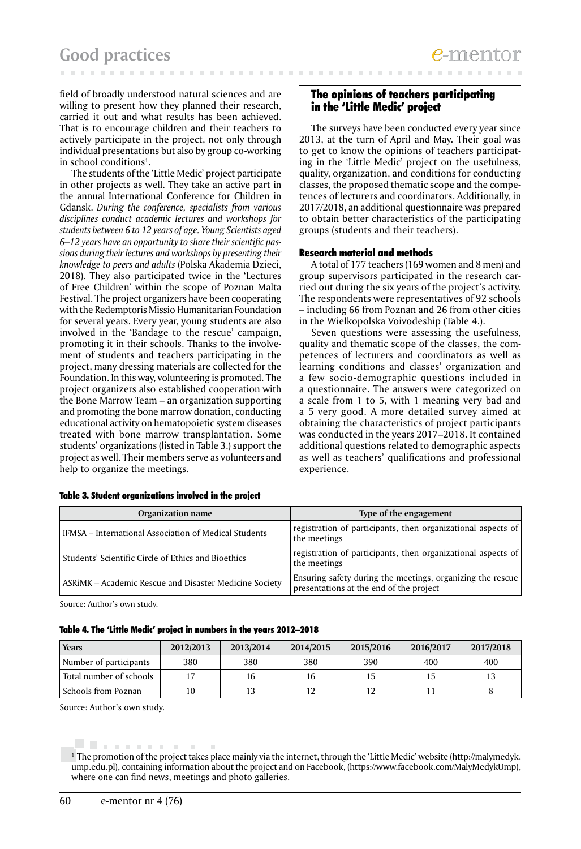field of broadly understood natural sciences and are willing to present how they planned their research, carried it out and what results has been achieved. That is to encourage children and their teachers to actively participate in the project, not only through individual presentations but also by group co-working in school conditions<sup>1</sup>.

The students of the 'Little Medic' project participate in other projects as well. They take an active part in the annual International Conference for Children in Gdansk. *During the conference, specialists from various disciplines conduct academic lectures and workshops for students between 6 to 12 years of age. Young Scientists aged 6–12 years have an opportunity to share their scientific passions during their lectures and workshops by presenting their knowledge to peers and adults* (Polska Akademia Dzieci, 2018). They also participated twice in the 'Lectures of Free Children' within the scope of Poznan Malta Festival. The project organizers have been cooperating with the Redemptoris Missio Humanitarian Foundation for several years. Every year, young students are also involved in the 'Bandage to the rescue' campaign, promoting it in their schools. Thanks to the involvement of students and teachers participating in the project, many dressing materials are collected for the Foundation. In this way, volunteering is promoted. The project organizers also established cooperation with the Bone Marrow Team – an organization supporting and promoting the bone marrow donation, conducting educational activity on hematopoietic system diseases treated with bone marrow transplantation. Some students' organizations (listed in Table 3.) support the project as well. Their members serve as volunteers and help to organize the meetings.

# The opinions of teachers participating in the 'Little Medic' project

The surveys have been conducted every year since 2013, at the turn of April and May. Their goal was to get to know the opinions of teachers participating in the 'Little Medic' project on the usefulness, quality, organization, and conditions for conducting classes, the proposed thematic scope and the competences of lecturers and coordinators. Additionally, in 2017/2018, an additional questionnaire was prepared to obtain better characteristics of the participating groups (students and their teachers).

# Research material and methods

A total of 177 teachers (169 women and 8 men) and group supervisors participated in the research carried out during the six years of the project's activity. The respondents were representatives of 92 schools – including 66 from Poznan and 26 from other cities in the Wielkopolska Voivodeship (Table 4.).

Seven questions were assessing the usefulness, quality and thematic scope of the classes, the competences of lecturers and coordinators as well as learning conditions and classes' organization and a few socio-demographic questions included in a questionnaire. The answers were categorized on a scale from 1 to 5, with 1 meaning very bad and a 5 very good. A more detailed survey aimed at obtaining the characteristics of project participants was conducted in the years 2017–2018. It contained additional questions related to demographic aspects as well as teachers' qualifications and professional experience.

| Organization name                                      | Type of the engagement                                                                                |
|--------------------------------------------------------|-------------------------------------------------------------------------------------------------------|
| IFMSA – International Association of Medical Students  | registration of participants, then organizational aspects of<br>the meetings                          |
| Students' Scientific Circle of Ethics and Bioethics    | registration of participants, then organizational aspects of<br>the meetings                          |
| ASRIMK - Academic Rescue and Disaster Medicine Society | Ensuring safety during the meetings, organizing the rescue<br>presentations at the end of the project |

| Table 3. Student organizations involved in the project |  |  |
|--------------------------------------------------------|--|--|
|                                                        |  |  |

Source: Author's own study.

| Table 4. The 'Little Medic' project in numbers in the years 2012—2018 |  |  |
|-----------------------------------------------------------------------|--|--|
|-----------------------------------------------------------------------|--|--|

| <b>Years</b>            | 2012/2013 | 2013/2014 | 2014/2015 | 2015/2016 | 2016/2017 | 2017/2018 |
|-------------------------|-----------|-----------|-----------|-----------|-----------|-----------|
| Number of participants  | 380       | 380       | 380       | 390       | 400       | 400       |
| Total number of schools |           | 16        |           |           |           |           |
| Schools from Poznan     | 10        |           |           |           |           |           |

Source: Author's own study.

<sup>. . . . . . . . . .</sup> 

<sup>1</sup> The promotion of the project takes place mainly via the internet, through the 'Little Medic' website (http://malymedyk. ump.edu.pl), containing information about the project and on Facebook, (https://www.facebook.com/MalyMedykUmp), where one can find news, meetings and photo galleries.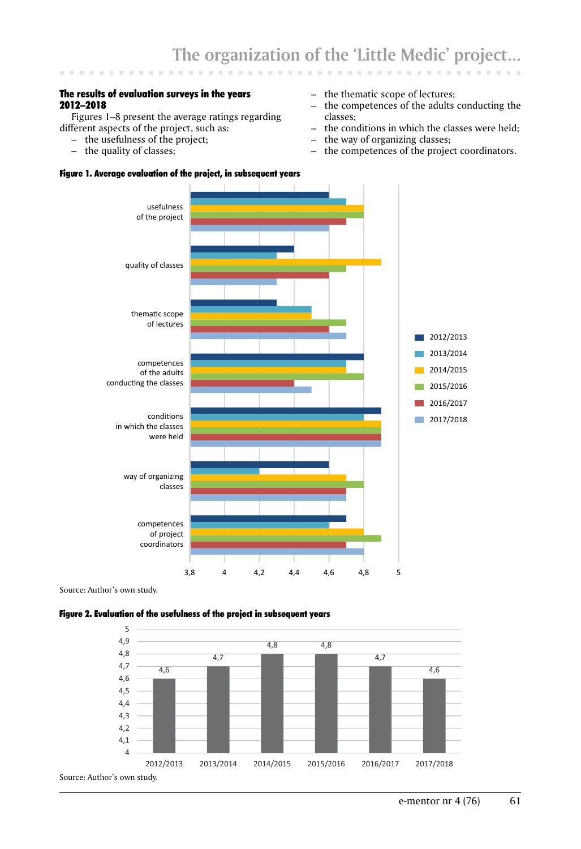# The results of evaluation surveys in the years 2012–2018

Figures 1–8 present the average ratings regarding different aspects of the project, such as:

- the usefulness of the project;
- the quality of classes;

# Figure 1. Average evaluation of the project, in subsequent years

- the thematic scope of lectures;
- the competences of the adults conducting the classes;
- the conditions in which the classes were held;<br>– the way of organizing classes:
- the way of organizing classes;
- the competences of the project coordinators.



Source: Author's own study.

#### Figure 2. Evaluation of the usefulness of the project in subsequent years

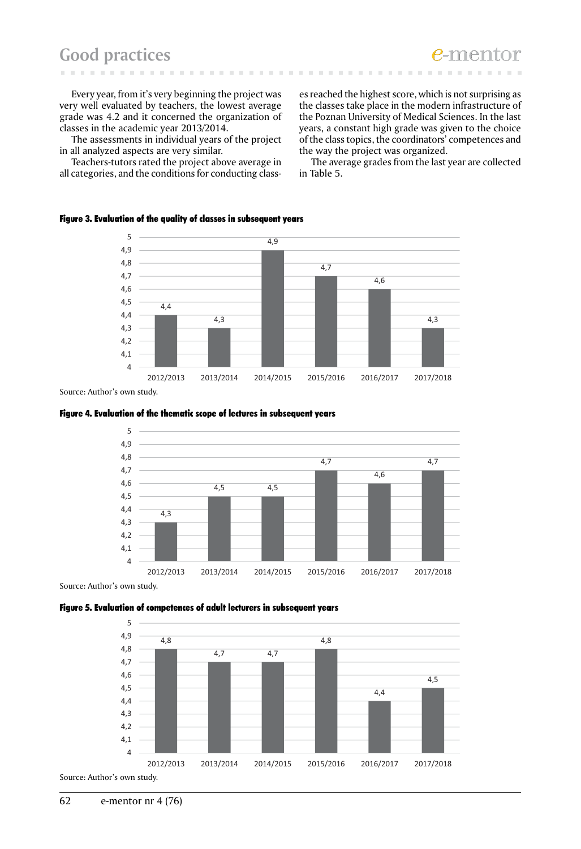# **Good practices**

Every year, from it's very beginning the project was very well evaluated by teachers, the lowest average grade was 4.2 and it concerned the organization of classes in the academic year 2013/2014.

The assessments in individual years of the project in all analyzed aspects are very similar.

Teachers-tutors rated the project above average in all categories, and the conditions for conducting class-

es reached the highest score, which is not surprising as the classes take place in the modern infrastructure of the Poznan University of Medical Sciences. In the last years, a constant high grade was given to the choice of the class topics, the coordinators' competences and the way the project was organized.

The average grades from the last year are collected in Table 5.

# Figure 3. Evaluation of the quality of classes in subsequent years



 $\sim$  $\sim$  $\sim$  $\sim$  $\mathcal{C}^{\mathcal{C}}$ **COLLECT** 

Source: Author's own study.





Source: Author's own study.

#### Figure 5. Evaluation of competences of adult lecturers in subsequent years

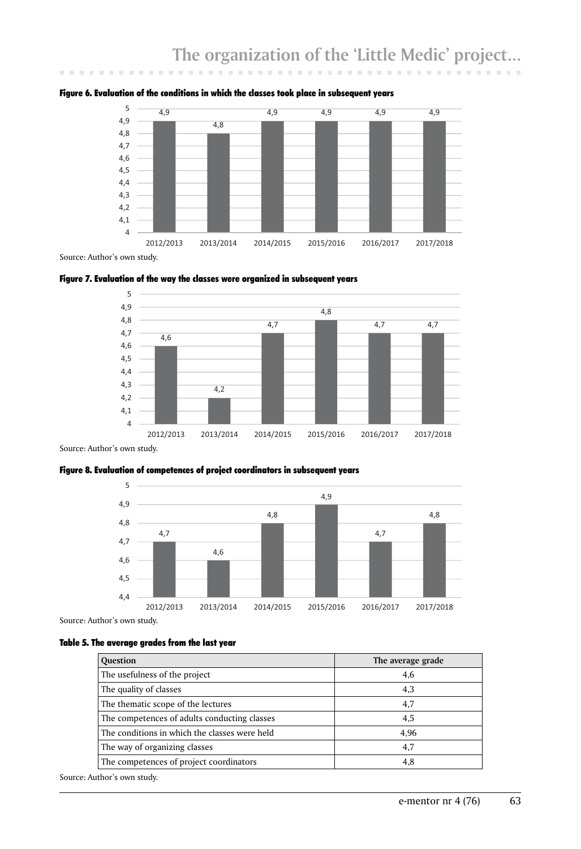

#### Figure 6. Evaluation of the conditions in which the classes took place in subsequent years

Source: Author's own study.

**CONTRACTOR** 

 $\sim$ 

**CONTRACTOR** 





Source: Author's own study.





Source: Author's own study.

#### Table 5. The average grades from the last year

| <b>Question</b>                               | The average grade |
|-----------------------------------------------|-------------------|
| The usefulness of the project                 | 4,6               |
| The quality of classes                        | 4,3               |
| The thematic scope of the lectures            | 4,7               |
| The competences of adults conducting classes  | 4,5               |
| The conditions in which the classes were held | 4.96              |
| The way of organizing classes                 | 4,7               |
| The competences of project coordinators       | 4,8               |

Source: Author's own study.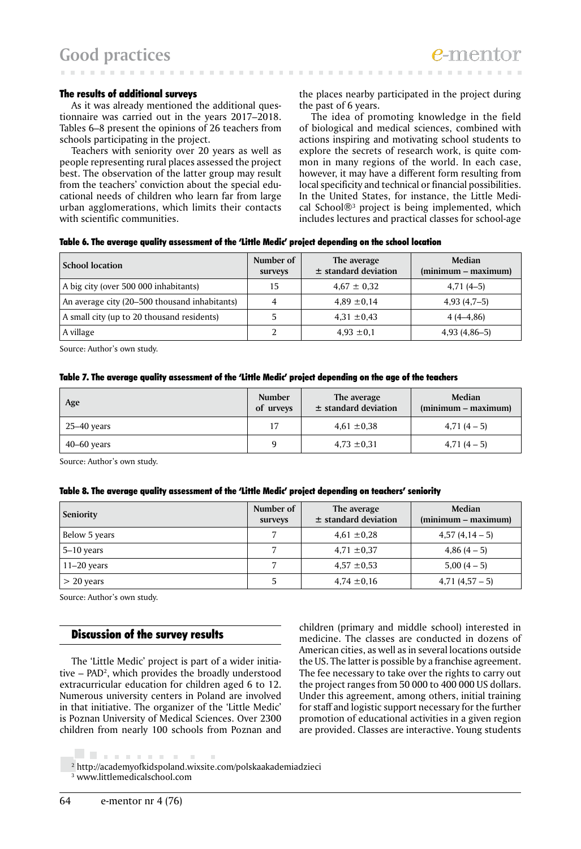#### The results of additional surveys

As it was already mentioned the additional questionnaire was carried out in the years 2017–2018. Tables 6–8 present the opinions of 26 teachers from schools participating in the project.

Teachers with seniority over 20 years as well as people representing rural places assessed the project best. The observation of the latter group may result from the teachers' conviction about the special educational needs of children who learn far from large urban agglomerations, which limits their contacts with scientific communities.

the places nearby participated in the project during the past of 6 years.

The idea of promoting knowledge in the field of biological and medical sciences, combined with actions inspiring and motivating school students to explore the secrets of research work, is quite common in many regions of the world. In each case, however, it may have a different form resulting from local specificity and technical or financial possibilities. In the United States, for instance, the Little Medical School®3 project is being implemented, which includes lectures and practical classes for school-age

| Table 6. The average quality assessment of the 'Little Medic' project depending on the school location |  |  |  |
|--------------------------------------------------------------------------------------------------------|--|--|--|
|--------------------------------------------------------------------------------------------------------|--|--|--|

| <b>School location</b>                        | Number of<br>surveys | The average<br>$±$ standard deviation | Median<br>$(minnum - maximum)$ |
|-----------------------------------------------|----------------------|---------------------------------------|--------------------------------|
| A big city (over 500 000 inhabitants)         | 15                   | $4.67 \pm 0.32$                       | $4,71(4-5)$                    |
| An average city (20–500 thousand inhabitants) |                      | $4,89 \pm 0,14$                       | $4,93(4,7-5)$                  |
| A small city (up to 20 thousand residents)    |                      | $4,31 \pm 0,43$                       | $4(4-4,86)$                    |
| A village                                     |                      | $4.93 \pm 0.1$                        | $4,93(4,86-5)$                 |

Source: Author's own study.

#### Table 7. The average quality assessment of the 'Little Medic' project depending on the age of the teachers

| Age             | Number<br>of urveys | The average<br>$\pm$ standard deviation | Median<br>$(minimum - maximum)$ |
|-----------------|---------------------|-----------------------------------------|---------------------------------|
| 25–40 years     |                     | $4,61 \pm 0,38$                         | $4,71(4-5)$                     |
| $40 - 60$ years |                     | $4,73 \pm 0,31$                         | $4,71(4-5)$                     |

Source: Author's own study.

#### Table 8. The average quality assessment of the 'Little Medic' project depending on teachers' seniority

| <b>Seniority</b> | Number of<br>surveys | The average<br>$\pm$ standard deviation | Median<br>$(minimum - maximum)$ |
|------------------|----------------------|-----------------------------------------|---------------------------------|
| Below 5 years    |                      | $4,61 \pm 0.28$                         | $4,57(4,14-5)$                  |
| $5 - 10$ years   |                      | $4.71 \pm 0.37$                         | $4,86(4-5)$                     |
| $11-20$ years    |                      | $4.57 \pm 0.53$                         | $5,00(4-5)$                     |
| $> 20$ years     | 5                    | $4,74 \pm 0,16$                         | $4,71(4,57-5)$                  |

Source: Author's own study.

# Discussion of the survey results

. . . . . . . . . . . .

The 'Little Medic' project is part of a wider initiative – PAD2 , which provides the broadly understood extracurricular education for children aged 6 to 12. Numerous university centers in Poland are involved in that initiative. The organizer of the 'Little Medic' is Poznan University of Medical Sciences. Over 2300 children from nearly 100 schools from Poznan and

children (primary and middle school) interested in medicine. The classes are conducted in dozens of American cities, as well as in several locations outside the US. The latter is possible by a franchise agreement. The fee necessary to take over the rights to carry out the project ranges from 50 000 to 400 000 US dollars. Under this agreement, among others, initial training for staff and logistic support necessary for the further promotion of educational activities in a given region are provided. Classes are interactive. Young students

<sup>2</sup> http://academyofkidspoland.wixsite.com/polskaakademiadzieci  $\overline{3}$  www.littlemedicalschool.com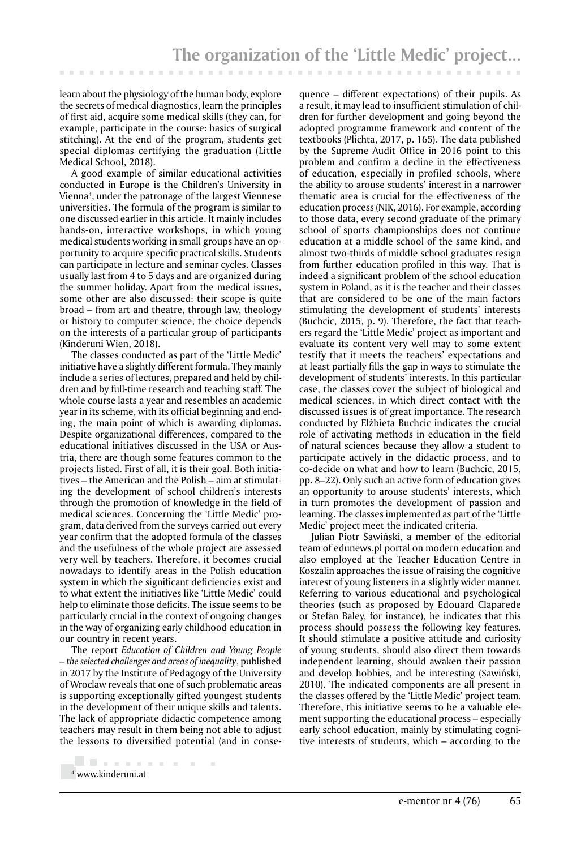learn about the physiology of the human body, explore the secrets of medical diagnostics, learn the principles of first aid, acquire some medical skills (they can, for example, participate in the course: basics of surgical stitching). At the end of the program, students get special diplomas certifying the graduation (Little Medical School, 2018).

A good example of similar educational activities conducted in Europe is the Children's University in Vienna4 , under the patronage of the largest Viennese universities. The formula of the program is similar to one discussed earlier in this article. It mainly includes hands-on, interactive workshops, in which young medical students working in small groups have an opportunity to acquire specific practical skills. Students can participate in lecture and seminar cycles. Classes usually last from 4 to 5 days and are organized during the summer holiday. Apart from the medical issues, some other are also discussed: their scope is quite broad – from art and theatre, through law, theology or history to computer science, the choice depends on the interests of a particular group of participants (Kinderuni Wien, 2018).

The classes conducted as part of the 'Little Medic' initiative have a slightly different formula. They mainly include a series of lectures, prepared and held by children and by full-time research and teaching staff. The whole course lasts a year and resembles an academic year in its scheme, with its official beginning and ending, the main point of which is awarding diplomas. Despite organizational differences, compared to the educational initiatives discussed in the USA or Austria, there are though some features common to the projects listed. First of all, it is their goal. Both initiatives – the American and the Polish – aim at stimulating the development of school children's interests through the promotion of knowledge in the field of medical sciences. Concerning the 'Little Medic' program, data derived from the surveys carried out every year confirm that the adopted formula of the classes and the usefulness of the whole project are assessed very well by teachers. Therefore, it becomes crucial nowadays to identify areas in the Polish education system in which the significant deficiencies exist and to what extent the initiatives like 'Little Medic' could help to eliminate those deficits. The issue seems to be particularly crucial in the context of ongoing changes in the way of organizing early childhood education in our country in recent years.

The report *Education of Children and Young People – the selected challenges and areas of inequality*, published in 2017 by the Institute of Pedagogy of the University of Wroclaw reveals that one of such problematic areas is supporting exceptionally gifted youngest students in the development of their unique skills and talents. The lack of appropriate didactic competence among teachers may result in them being not able to adjust the lessons to diversified potential (and in conse-

quence – different expectations) of their pupils. As a result, it may lead to insufficient stimulation of children for further development and going beyond the adopted programme framework and content of the textbooks (Plichta, 2017, p. 165). The data published by the Supreme Audit Office in 2016 point to this problem and confirm a decline in the effectiveness of education, especially in profiled schools, where the ability to arouse students' interest in a narrower thematic area is crucial for the effectiveness of the education process (NIK, 2016). For example, according to those data, every second graduate of the primary school of sports championships does not continue education at a middle school of the same kind, and almost two-thirds of middle school graduates resign from further education profiled in this way. That is indeed a significant problem of the school education system in Poland, as it is the teacher and their classes that are considered to be one of the main factors stimulating the development of students' interests (Buchcic, 2015, p. 9). Therefore, the fact that teachers regard the 'Little Medic' project as important and evaluate its content very well may to some extent testify that it meets the teachers' expectations and at least partially fills the gap in ways to stimulate the development of students' interests. In this particular case, the classes cover the subject of biological and medical sciences, in which direct contact with the discussed issues is of great importance. The research conducted by Elżbieta Buchcic indicates the crucial role of activating methods in education in the field of natural sciences because they allow a student to participate actively in the didactic process, and to co-decide on what and how to learn (Buchcic, 2015, pp. 8–22). Only such an active form of education gives an opportunity to arouse students' interests, which in turn promotes the development of passion and learning. The classes implemented as part of the 'Little Medic' project meet the indicated criteria.

Julian Piotr Sawiński, a member of the editorial team of edunews.pl portal on modern education and also employed at the Teacher Education Centre in Koszalin approaches the issue of raising the cognitive interest of young listeners in a slightly wider manner. Referring to various educational and psychological theories (such as proposed by Edouard Claparede or Stefan Baley, for instance), he indicates that this process should possess the following key features. It should stimulate a positive attitude and curiosity of young students, should also direct them towards independent learning, should awaken their passion and develop hobbies, and be interesting (Sawiński, 2010). The indicated components are all present in the classes offered by the 'Little Medic' project team. Therefore, this initiative seems to be a valuable element supporting the educational process – especially early school education, mainly by stimulating cognitive interests of students, which – according to the

<sup>. . . . . . . . . .</sup> 4 www.kinderuni.at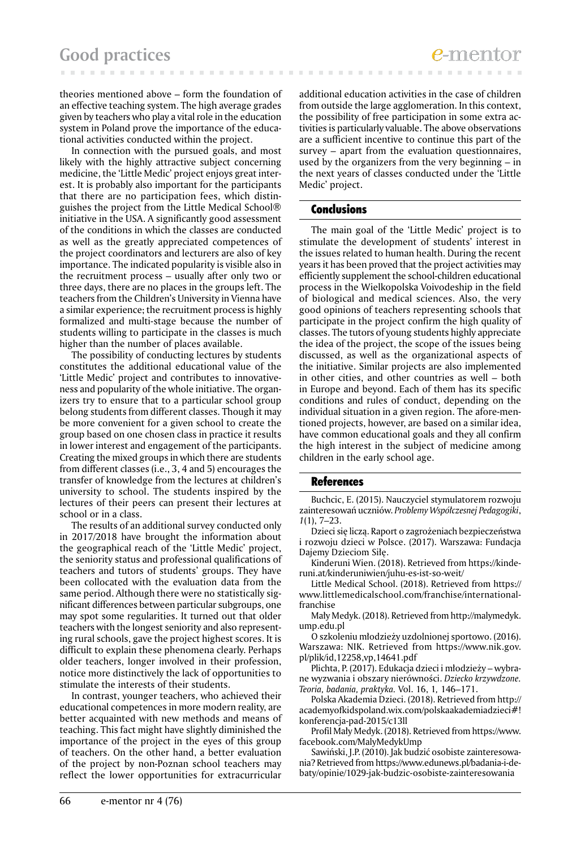theories mentioned above – form the foundation of an effective teaching system. The high average grades given by teachers who play a vital role in the education system in Poland prove the importance of the educational activities conducted within the project.

In connection with the pursued goals, and most likely with the highly attractive subject concerning medicine, the 'Little Medic' project enjoys great interest. It is probably also important for the participants that there are no participation fees, which distinguishes the project from the Little Medical School® initiative in the USA. A significantly good assessment of the conditions in which the classes are conducted as well as the greatly appreciated competences of the project coordinators and lecturers are also of key importance. The indicated popularity is visible also in the recruitment process – usually after only two or three days, there are no places in the groups left. The teachers from the Children's University in Vienna have a similar experience; the recruitment process is highly formalized and multi-stage because the number of students willing to participate in the classes is much higher than the number of places available.

The possibility of conducting lectures by students constitutes the additional educational value of the 'Little Medic' project and contributes to innovativeness and popularity of the whole initiative. The organizers try to ensure that to a particular school group belong students from different classes. Though it may be more convenient for a given school to create the group based on one chosen class in practice it results in lower interest and engagement of the participants. Creating the mixed groups in which there are students from different classes (i.e., 3, 4 and 5) encourages the transfer of knowledge from the lectures at children's university to school. The students inspired by the lectures of their peers can present their lectures at school or in a class.

The results of an additional survey conducted only in 2017/2018 have brought the information about the geographical reach of the 'Little Medic' project, the seniority status and professional qualifications of teachers and tutors of students' groups. They have been collocated with the evaluation data from the same period. Although there were no statistically significant differences between particular subgroups, one may spot some regularities. It turned out that older teachers with the longest seniority and also representing rural schools, gave the project highest scores. It is difficult to explain these phenomena clearly. Perhaps older teachers, longer involved in their profession, notice more distinctively the lack of opportunities to stimulate the interests of their students.

In contrast, younger teachers, who achieved their educational competences in more modern reality, are better acquainted with new methods and means of teaching. This fact might have slightly diminished the importance of the project in the eyes of this group of teachers. On the other hand, a better evaluation of the project by non-Poznan school teachers may reflect the lower opportunities for extracurricular

additional education activities in the case of children from outside the large agglomeration. In this context, the possibility of free participation in some extra activities is particularly valuable. The above observations are a sufficient incentive to continue this part of the survey – apart from the evaluation questionnaires, used by the organizers from the very beginning – in the next years of classes conducted under the 'Little Medic' project.

# **Conclusions**

The main goal of the 'Little Medic' project is to stimulate the development of students' interest in the issues related to human health. During the recent years it has been proved that the project activities may efficiently supplement the school-children educational process in the Wielkopolska Voivodeship in the field of biological and medical sciences. Also, the very good opinions of teachers representing schools that participate in the project confirm the high quality of classes. The tutors of young students highly appreciate the idea of the project, the scope of the issues being discussed, as well as the organizational aspects of the initiative. Similar projects are also implemented in other cities, and other countries as well – both in Europe and beyond. Each of them has its specific conditions and rules of conduct, depending on the individual situation in a given region. The afore-mentioned projects, however, are based on a similar idea, have common educational goals and they all confirm the high interest in the subject of medicine among children in the early school age.

#### References

Buchcic, E. (2015). Nauczyciel stymulatorem rozwoju zainteresowań uczniów. *Problemy Współczesnej Pedagogiki*, *1*(1), 7–23.

Dzieci się liczą. Raport o zagrożeniach bezpieczeństwa i rozwoju dzieci w Polsce. (2017). Warszawa: Fundacja Dajemy Dzieciom Siłę.

Kinderuni Wien. (2018). Retrieved from https://kinderuni.at/kinderuniwien/juhu-es-ist-so-weit/

Little Medical School. (2018). Retrieved from https:// www.littlemedicalschool.com/franchise/internationalfranchise

Mały Medyk. (2018). Retrieved from http://malymedyk. ump.edu.pl

O szkoleniu młodzieży uzdolnionej sportowo. (2016). Warszawa: NIK. Retrieved from https://www.nik.gov. pl/plik/id,12258,vp,14641.pdf

Plichta, P. (2017). Edukacja dzieci i młodzieży – wybrane wyzwania i obszary nierówności. *Dziecko krzywdzone. Teoria, badania, praktyka.* Vol. 16, 1*,* 146–171.

Polska Akademia Dzieci. (2018). Retrieved from http:// academyofkidspoland.wix.com/polskaakademiadzieci#! konferencja-pad-2015/c13ll

Profil Mały Medyk. (2018). Retrieved from https://www. facebook.com/MalyMedykUmp

Sawiński, J.P. (2010). Jak budzić osobiste zainteresowania? Retrieved from https://www.edunews.pl/badania-i-debaty/opinie/1029-jak-budzic-osobiste-zainteresowania